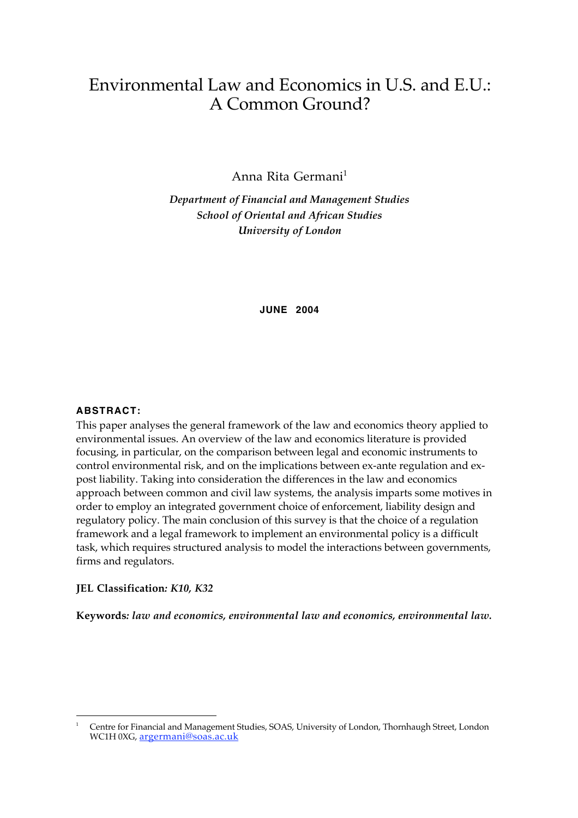# Environmental Law and Economics in U.S. and E.U.: A Common Ground?

Anna Rita Germani1

*Department of Financial and Management Studies School of Oriental and African Studies University of London*

**JUNE 2004**

#### **ABSTRACT:**

 $\overline{a}$ 

This paper analyses the general framework of the law and economics theory applied to environmental issues. An overview of the law and economics literature is provided focusing, in particular, on the comparison between legal and economic instruments to control environmental risk, and on the implications between ex-ante regulation and expost liability. Taking into consideration the differences in the law and economics approach between common and civil law systems, the analysis imparts some motives in order to employ an integrated government choice of enforcement, liability design and regulatory policy. The main conclusion of this survey is that the choice of a regulation framework and a legal framework to implement an environmental policy is a difficult task, which requires structured analysis to model the interactions between governments, firms and regulators.

#### **JEL Classification***: K10, K32*

**Keywords***: law and economics, environmental law and economics, environmental law.*

<sup>1</sup> Centre for Financial and Management Studies, SOAS, University of London, Thornhaugh Street, London WC1H 0XG, argermani@soas.ac.uk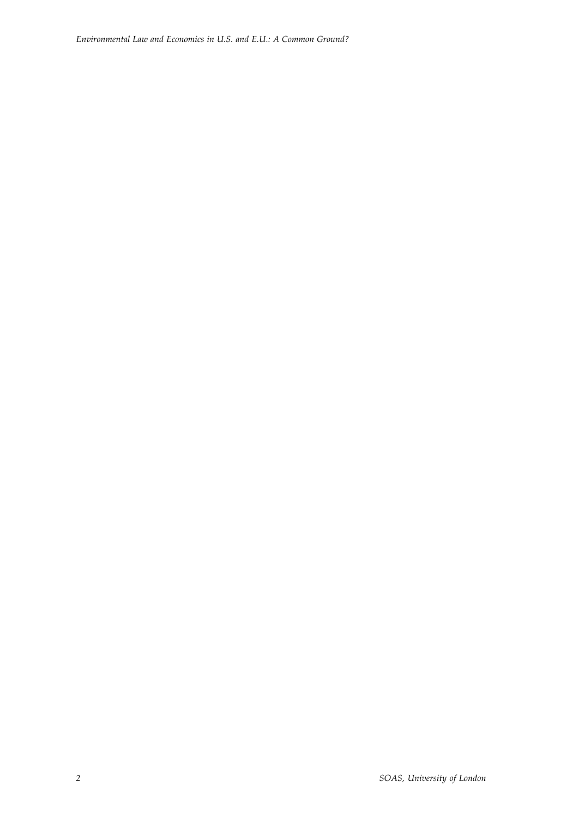*Environmental Law and Economics in U.S. and E.U.: A Common Ground?*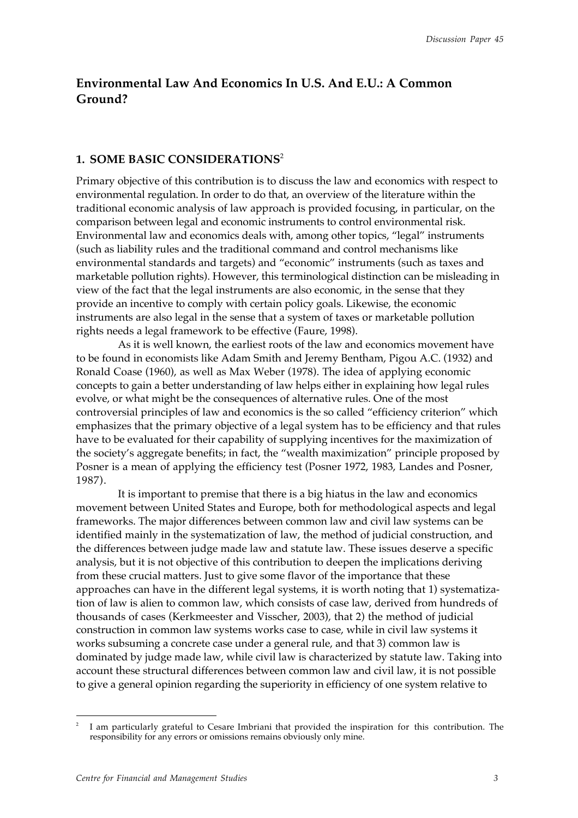# **Environmental Law And Economics In U.S. And E.U.: A Common Ground?**

#### **1. SOME BASIC CONSIDERATIONS**<sup>2</sup>

Primary objective of this contribution is to discuss the law and economics with respect to environmental regulation. In order to do that, an overview of the literature within the traditional economic analysis of law approach is provided focusing, in particular, on the comparison between legal and economic instruments to control environmental risk. Environmental law and economics deals with, among other topics, "legal" instruments (such as liability rules and the traditional command and control mechanisms like environmental standards and targets) and "economic" instruments (such as taxes and marketable pollution rights). However, this terminological distinction can be misleading in view of the fact that the legal instruments are also economic, in the sense that they provide an incentive to comply with certain policy goals. Likewise, the economic instruments are also legal in the sense that a system of taxes or marketable pollution rights needs a legal framework to be effective (Faure, 1998).

As it is well known, the earliest roots of the law and economics movement have to be found in economists like Adam Smith and Jeremy Bentham, Pigou A.C. (1932) and Ronald Coase (1960), as well as Max Weber (1978). The idea of applying economic concepts to gain a better understanding of law helps either in explaining how legal rules evolve, or what might be the consequences of alternative rules. One of the most controversial principles of law and economics is the so called "efficiency criterion" which emphasizes that the primary objective of a legal system has to be efficiency and that rules have to be evaluated for their capability of supplying incentives for the maximization of the society's aggregate benefits; in fact, the "wealth maximization" principle proposed by Posner is a mean of applying the efficiency test (Posner 1972, 1983, Landes and Posner, 1987).

It is important to premise that there is a big hiatus in the law and economics movement between United States and Europe, both for methodological aspects and legal frameworks. The major differences between common law and civil law systems can be identified mainly in the systematization of law, the method of judicial construction, and the differences between judge made law and statute law. These issues deserve a specific analysis, but it is not objective of this contribution to deepen the implications deriving from these crucial matters. Just to give some flavor of the importance that these approaches can have in the different legal systems, it is worth noting that 1) systematization of law is alien to common law, which consists of case law, derived from hundreds of thousands of cases (Kerkmeester and Visscher, 2003), that 2) the method of judicial construction in common law systems works case to case, while in civil law systems it works subsuming a concrete case under a general rule, and that 3) common law is dominated by judge made law, while civil law is characterized by statute law. Taking into account these structural differences between common law and civil law, it is not possible to give a general opinion regarding the superiority in efficiency of one system relative to

<sup>2</sup> I am particularly grateful to Cesare Imbriani that provided the inspiration for this contribution. The responsibility for any errors or omissions remains obviously only mine.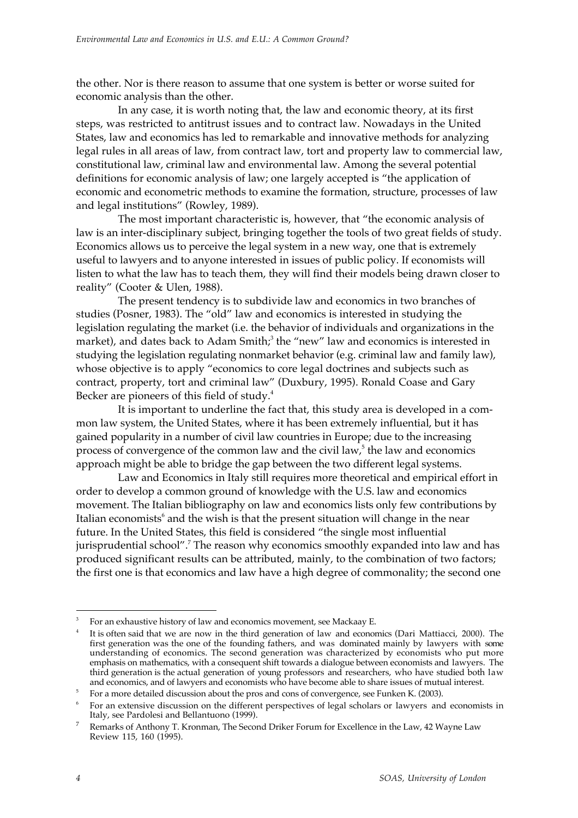the other. Nor is there reason to assume that one system is better or worse suited for economic analysis than the other.

In any case, it is worth noting that, the law and economic theory, at its first steps, was restricted to antitrust issues and to contract law. Nowadays in the United States, law and economics has led to remarkable and innovative methods for analyzing legal rules in all areas of law, from contract law, tort and property law to commercial law, constitutional law, criminal law and environmental law. Among the several potential definitions for economic analysis of law; one largely accepted is "the application of economic and econometric methods to examine the formation, structure, processes of law and legal institutions" (Rowley, 1989).

The most important characteristic is, however, that "the economic analysis of law is an inter-disciplinary subject, bringing together the tools of two great fields of study. Economics allows us to perceive the legal system in a new way, one that is extremely useful to lawyers and to anyone interested in issues of public policy. If economists will listen to what the law has to teach them, they will find their models being drawn closer to reality" (Cooter & Ulen, 1988).

The present tendency is to subdivide law and economics in two branches of studies (Posner, 1983). The "old" law and economics is interested in studying the legislation regulating the market (i.e. the behavior of individuals and organizations in the market), and dates back to Adam Smith, $3$  the "new" law and economics is interested in studying the legislation regulating nonmarket behavior (e.g. criminal law and family law), whose objective is to apply "economics to core legal doctrines and subjects such as contract, property, tort and criminal law" (Duxbury, 1995). Ronald Coase and Gary Becker are pioneers of this field of study.<sup>4</sup>

It is important to underline the fact that, this study area is developed in a common law system, the United States, where it has been extremely influential, but it has gained popularity in a number of civil law countries in Europe; due to the increasing process of convergence of the common law and the civil law, $5$  the law and economics approach might be able to bridge the gap between the two different legal systems.

Law and Economics in Italy still requires more theoretical and empirical effort in order to develop a common ground of knowledge with the U.S. law and economics movement. The Italian bibliography on law and economics lists only few contributions by Italian economists $^{\circ}$  and the wish is that the present situation will change in the near future. In the United States, this field is considered "the single most influential jurisprudential school". $^7$  The reason why economics smoothly expanded into law and has produced significant results can be attributed, mainly, to the combination of two factors; the first one is that economics and law have a high degree of commonality; the second one

<sup>3</sup> For an exhaustive history of law and economics movement, see Mackaay E.

<sup>4</sup> It is often said that we are now in the third generation of law and economics (Dari Mattiacci, 2000). The first generation was the one of the founding fathers, and was dominated mainly by lawyers with some understanding of economics. The second generation was characterized by economists who put more emphasis on mathematics, with a consequent shift towards a dialogue between economists and lawyers. The third generation is the actual generation of young professors and researchers, who have studied both law and economics, and of lawyers and economists who have become able to share issues of mutual interest.

<sup>5</sup> For a more detailed discussion about the pros and cons of convergence, see Funken K. (2003).

<sup>6</sup> For an extensive discussion on the different perspectives of legal scholars or lawyers and economists in Italy, see Pardolesi and Bellantuono (1999).

<sup>7</sup> Remarks of Anthony T. Kronman, The Second Driker Forum for Excellence in the Law, 42 Wayne Law Review 115, 160 (1995).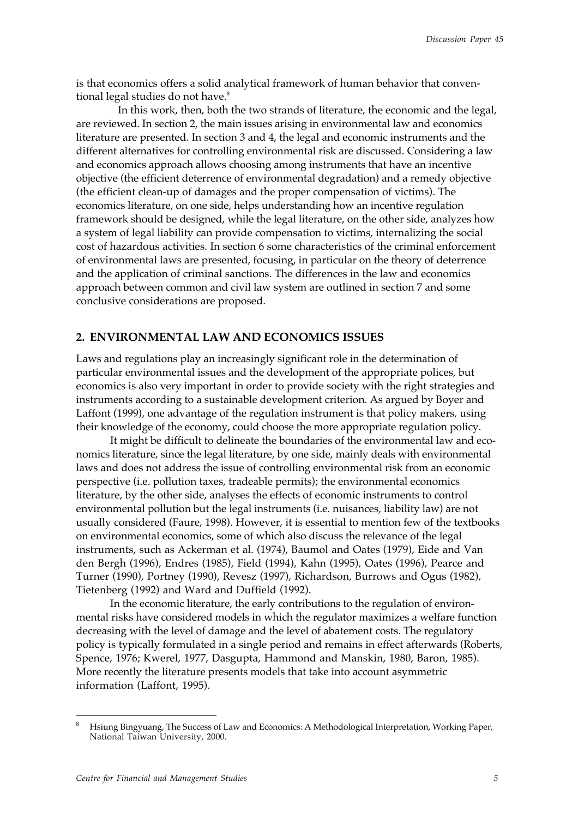is that economics offers a solid analytical framework of human behavior that conventional legal studies do not have.<sup>8</sup>

In this work, then, both the two strands of literature, the economic and the legal, are reviewed. In section 2, the main issues arising in environmental law and economics literature are presented. In section 3 and 4, the legal and economic instruments and the different alternatives for controlling environmental risk are discussed. Considering a law and economics approach allows choosing among instruments that have an incentive objective (the efficient deterrence of environmental degradation) and a remedy objective (the efficient clean-up of damages and the proper compensation of victims). The economics literature, on one side, helps understanding how an incentive regulation framework should be designed, while the legal literature, on the other side, analyzes how a system of legal liability can provide compensation to victims, internalizing the social cost of hazardous activities. In section 6 some characteristics of the criminal enforcement of environmental laws are presented, focusing, in particular on the theory of deterrence and the application of criminal sanctions. The differences in the law and economics approach between common and civil law system are outlined in section 7 and some conclusive considerations are proposed.

#### **2. ENVIRONMENTAL LAW AND ECONOMICS ISSUES**

Laws and regulations play an increasingly significant role in the determination of particular environmental issues and the development of the appropriate polices, but economics is also very important in order to provide society with the right strategies and instruments according to a sustainable development criterion. As argued by Boyer and Laffont (1999), one advantage of the regulation instrument is that policy makers, using their knowledge of the economy, could choose the more appropriate regulation policy.

It might be difficult to delineate the boundaries of the environmental law and economics literature, since the legal literature, by one side, mainly deals with environmental laws and does not address the issue of controlling environmental risk from an economic perspective (i.e. pollution taxes, tradeable permits); the environmental economics literature, by the other side, analyses the effects of economic instruments to control environmental pollution but the legal instruments (i.e. nuisances, liability law) are not usually considered (Faure, 1998). However, it is essential to mention few of the textbooks on environmental economics, some of which also discuss the relevance of the legal instruments, such as Ackerman et al. (1974), Baumol and Oates (1979), Eide and Van den Bergh (1996), Endres (1985), Field (1994), Kahn (1995), Oates (1996), Pearce and Turner (1990), Portney (1990), Revesz (1997), Richardson, Burrows and Ogus (1982), Tietenberg (1992) and Ward and Duffield (1992).

In the economic literature, the early contributions to the regulation of environmental risks have considered models in which the regulator maximizes a welfare function decreasing with the level of damage and the level of abatement costs. The regulatory policy is typically formulated in a single period and remains in effect afterwards (Roberts, Spence, 1976; Kwerel, 1977, Dasgupta, Hammond and Manskin, 1980, Baron, 1985). More recently the literature presents models that take into account asymmetric information (Laffont, 1995).

<sup>8</sup> Hsiung Bingyuang, The Success of Law and Economics: A Methodological Interpretation, Working Paper, National Taiwan University, 2000.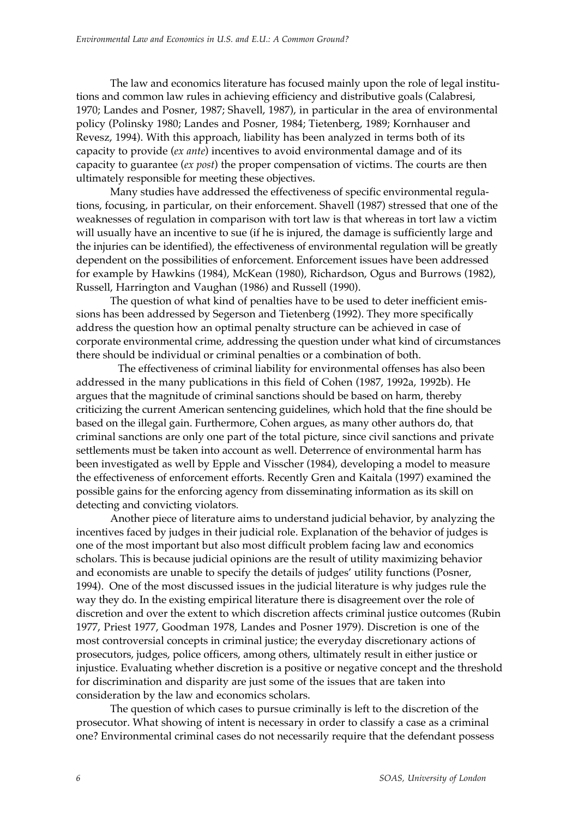The law and economics literature has focused mainly upon the role of legal institutions and common law rules in achieving efficiency and distributive goals (Calabresi, 1970; Landes and Posner, 1987; Shavell, 1987), in particular in the area of environmental policy (Polinsky 1980; Landes and Posner, 1984; Tietenberg, 1989; Kornhauser and Revesz, 1994). With this approach, liability has been analyzed in terms both of its capacity to provide (*ex ante*) incentives to avoid environmental damage and of its capacity to guarantee (*ex post*) the proper compensation of victims. The courts are then ultimately responsible for meeting these objectives.

Many studies have addressed the effectiveness of specific environmental regulations, focusing, in particular, on their enforcement. Shavell (1987) stressed that one of the weaknesses of regulation in comparison with tort law is that whereas in tort law a victim will usually have an incentive to sue (if he is injured, the damage is sufficiently large and the injuries can be identified), the effectiveness of environmental regulation will be greatly dependent on the possibilities of enforcement. Enforcement issues have been addressed for example by Hawkins (1984), McKean (1980), Richardson, Ogus and Burrows (1982), Russell, Harrington and Vaughan (1986) and Russell (1990).

The question of what kind of penalties have to be used to deter inefficient emissions has been addressed by Segerson and Tietenberg (1992). They more specifically address the question how an optimal penalty structure can be achieved in case of corporate environmental crime, addressing the question under what kind of circumstances there should be individual or criminal penalties or a combination of both.

The effectiveness of criminal liability for environmental offenses has also been addressed in the many publications in this field of Cohen (1987, 1992a, 1992b). He argues that the magnitude of criminal sanctions should be based on harm, thereby criticizing the current American sentencing guidelines, which hold that the fine should be based on the illegal gain. Furthermore, Cohen argues, as many other authors do, that criminal sanctions are only one part of the total picture, since civil sanctions and private settlements must be taken into account as well. Deterrence of environmental harm has been investigated as well by Epple and Visscher (1984), developing a model to measure the effectiveness of enforcement efforts. Recently Gren and Kaitala (1997) examined the possible gains for the enforcing agency from disseminating information as its skill on detecting and convicting violators.

Another piece of literature aims to understand judicial behavior, by analyzing the incentives faced by judges in their judicial role. Explanation of the behavior of judges is one of the most important but also most difficult problem facing law and economics scholars. This is because judicial opinions are the result of utility maximizing behavior and economists are unable to specify the details of judges' utility functions (Posner, 1994). One of the most discussed issues in the judicial literature is why judges rule the way they do. In the existing empirical literature there is disagreement over the role of discretion and over the extent to which discretion affects criminal justice outcomes (Rubin 1977, Priest 1977, Goodman 1978, Landes and Posner 1979). Discretion is one of the most controversial concepts in criminal justice; the everyday discretionary actions of prosecutors, judges, police officers, among others, ultimately result in either justice or injustice. Evaluating whether discretion is a positive or negative concept and the threshold for discrimination and disparity are just some of the issues that are taken into consideration by the law and economics scholars.

The question of which cases to pursue criminally is left to the discretion of the prosecutor. What showing of intent is necessary in order to classify a case as a criminal one? Environmental criminal cases do not necessarily require that the defendant possess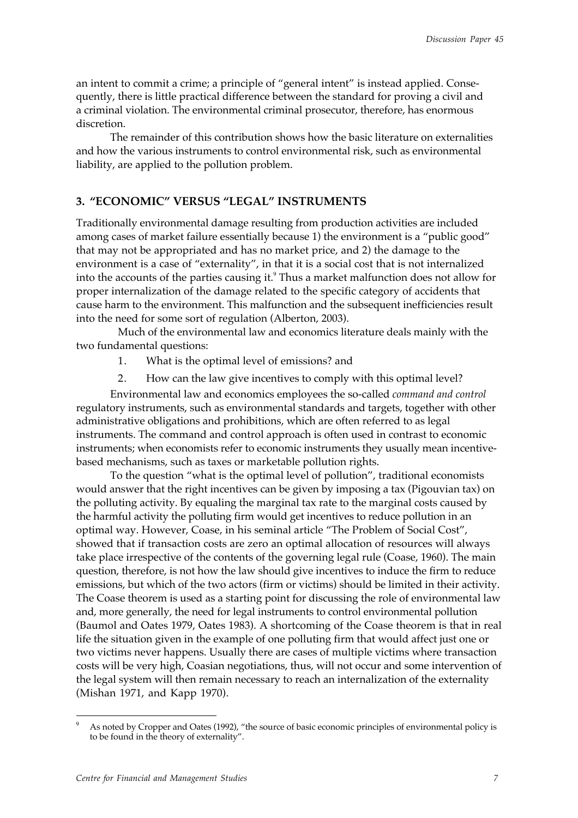an intent to commit a crime; a principle of "general intent" is instead applied. Consequently, there is little practical difference between the standard for proving a civil and a criminal violation. The environmental criminal prosecutor, therefore, has enormous discretion.

The remainder of this contribution shows how the basic literature on externalities and how the various instruments to control environmental risk, such as environmental liability, are applied to the pollution problem.

#### **3. "ECONOMIC" VERSUS "LEGAL" INSTRUMENTS**

Traditionally environmental damage resulting from production activities are included among cases of market failure essentially because 1) the environment is a "public good" that may not be appropriated and has no market price, and 2) the damage to the environment is a case of "externality", in that it is a social cost that is not internalized into the accounts of the parties causing it.<sup>9</sup> Thus a market malfunction does not allow for proper internalization of the damage related to the specific category of accidents that cause harm to the environment. This malfunction and the subsequent inefficiencies result into the need for some sort of regulation (Alberton, 2003).

Much of the environmental law and economics literature deals mainly with the two fundamental questions:

- 1. What is the optimal level of emissions? and
- 2. How can the law give incentives to comply with this optimal level?

Environmental law and economics employees the so-called *command and control* regulatory instruments, such as environmental standards and targets, together with other administrative obligations and prohibitions, which are often referred to as legal instruments. The command and control approach is often used in contrast to economic instruments; when economists refer to economic instruments they usually mean incentivebased mechanisms, such as taxes or marketable pollution rights.

To the question "what is the optimal level of pollution", traditional economists would answer that the right incentives can be given by imposing a tax (Pigouvian tax) on the polluting activity. By equaling the marginal tax rate to the marginal costs caused by the harmful activity the polluting firm would get incentives to reduce pollution in an optimal way. However, Coase, in his seminal article "The Problem of Social Cost", showed that if transaction costs are zero an optimal allocation of resources will always take place irrespective of the contents of the governing legal rule (Coase, 1960). The main question, therefore, is not how the law should give incentives to induce the firm to reduce emissions, but which of the two actors (firm or victims) should be limited in their activity. The Coase theorem is used as a starting point for discussing the role of environmental law and, more generally, the need for legal instruments to control environmental pollution (Baumol and Oates 1979, Oates 1983). A shortcoming of the Coase theorem is that in real life the situation given in the example of one polluting firm that would affect just one or two victims never happens. Usually there are cases of multiple victims where transaction costs will be very high, Coasian negotiations, thus, will not occur and some intervention of the legal system will then remain necessary to reach an internalization of the externality (Mishan 1971, and Kapp 1970).

<sup>9</sup> As noted by Cropper and Oates (1992), "the source of basic economic principles of environmental policy is to be found in the theory of externality".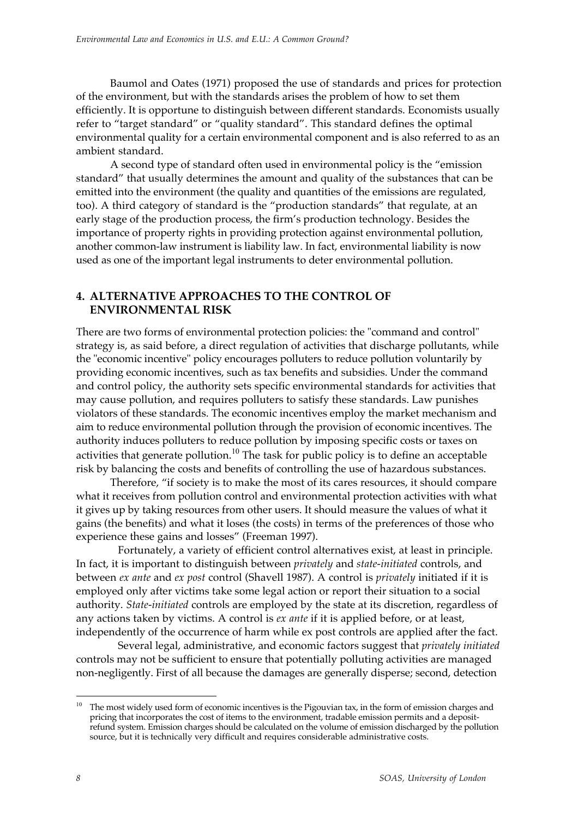Baumol and Oates (1971) proposed the use of standards and prices for protection of the environment, but with the standards arises the problem of how to set them efficiently. It is opportune to distinguish between different standards. Economists usually refer to "target standard" or "quality standard". This standard defines the optimal environmental quality for a certain environmental component and is also referred to as an ambient standard.

A second type of standard often used in environmental policy is the "emission standard" that usually determines the amount and quality of the substances that can be emitted into the environment (the quality and quantities of the emissions are regulated, too). A third category of standard is the "production standards" that regulate, at an early stage of the production process, the firm's production technology. Besides the importance of property rights in providing protection against environmental pollution, another common-law instrument is liability law. In fact, environmental liability is now used as one of the important legal instruments to deter environmental pollution.

## **4. ALTERNATIVE APPROACHES TO THE CONTROL OF ENVIRONMENTAL RISK**

There are two forms of environmental protection policies: the "command and control" strategy is, as said before, a direct regulation of activities that discharge pollutants, while the "economic incentive" policy encourages polluters to reduce pollution voluntarily by providing economic incentives, such as tax benefits and subsidies. Under the command and control policy, the authority sets specific environmental standards for activities that may cause pollution, and requires polluters to satisfy these standards. Law punishes violators of these standards. The economic incentives employ the market mechanism and aim to reduce environmental pollution through the provision of economic incentives. The authority induces polluters to reduce pollution by imposing specific costs or taxes on activities that generate pollution.<sup>10</sup> The task for public policy is to define an acceptable risk by balancing the costs and benefits of controlling the use of hazardous substances.

Therefore, "if society is to make the most of its cares resources, it should compare what it receives from pollution control and environmental protection activities with what it gives up by taking resources from other users. It should measure the values of what it gains (the benefits) and what it loses (the costs) in terms of the preferences of those who experience these gains and losses" (Freeman 1997).

Fortunately, a variety of efficient control alternatives exist, at least in principle. In fact, it is important to distinguish between *privately* and *state-initiated* controls, and between *ex ante* and *ex post* control (Shavell 1987). A control is *privately* initiated if it is employed only after victims take some legal action or report their situation to a social authority. *State-initiated* controls are employed by the state at its discretion, regardless of any actions taken by victims. A control is *ex ante* if it is applied before, or at least, independently of the occurrence of harm while ex post controls are applied after the fact.

Several legal, administrative, and economic factors suggest that *privately initiated* controls may not be sufficient to ensure that potentially polluting activities are managed non-negligently. First of all because the damages are generally disperse; second, detection

 $10\,$ The most widely used form of economic incentives is the Pigouvian tax, in the form of emission charges and pricing that incorporates the cost of items to the environment, tradable emission permits and a depositrefund system. Emission charges should be calculated on the volume of emission discharged by the pollution source, but it is technically very difficult and requires considerable administrative costs.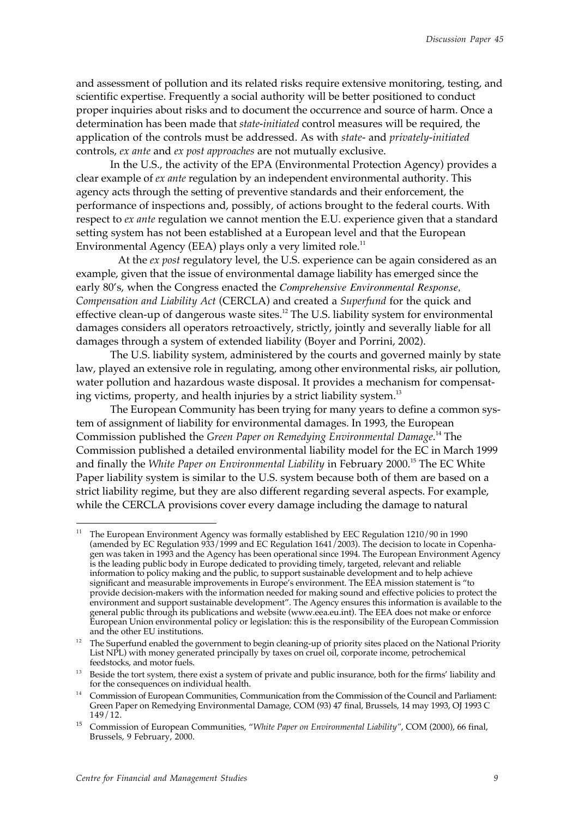and assessment of pollution and its related risks require extensive monitoring, testing, and scientific expertise. Frequently a social authority will be better positioned to conduct proper inquiries about risks and to document the occurrence and source of harm. Once a determination has been made that *state-initiated* control measures will be required, the application of the controls must be addressed. As with *state*- and *privately-initiated* controls, *ex ante* and *ex post approaches* are not mutually exclusive.

In the U.S., the activity of the EPA (Environmental Protection Agency) provides a clear example of *ex ante* regulation by an independent environmental authority. This agency acts through the setting of preventive standards and their enforcement, the performance of inspections and, possibly, of actions brought to the federal courts. With respect to *ex ante* regulation we cannot mention the E.U. experience given that a standard setting system has not been established at a European level and that the European Environmental Agency (EEA) plays only a very limited role.<sup>11</sup>

At the *ex post* regulatory level, the U.S. experience can be again considered as an example, given that the issue of environmental damage liability has emerged since the early 80's, when the Congress enacted the *Comprehensive Environmental Response, Compensation and Liability Act* (CERCLA) and created a *Superfund* for the quick and effective clean-up of dangerous waste sites.<sup>12</sup> The U.S. liability system for environmental damages considers all operators retroactively, strictly, jointly and severally liable for all damages through a system of extended liability (Boyer and Porrini, 2002).

The U.S. liability system, administered by the courts and governed mainly by state law, played an extensive role in regulating, among other environmental risks, air pollution, water pollution and hazardous waste disposal. It provides a mechanism for compensating victims, property, and health injuries by a strict liability system.<sup>13</sup>

The European Community has been trying for many years to define a common system of assignment of liability for environmental damages. In 1993, the European Commission published the *Green Paper on Remedying Environmental Damage*. 14 The Commission published a detailed environmental liability model for the EC in March 1999 and finally the *White Paper on Environmental Liability* in February 2000.<sup>15</sup> The EC White Paper liability system is similar to the U.S. system because both of them are based on a strict liability regime, but they are also different regarding several aspects. For example, while the CERCLA provisions cover every damage including the damage to natural

<sup>&</sup>lt;sup>11</sup> The European Environment Agency was formally established by EEC Regulation 1210/90 in 1990 (amended by EC Regulation 933/1999 and EC Regulation 1641/2003). The decision to locate in Copenhagen was taken in 1993 and the Agency has been operational since 1994. The European Environment Agency is the leading public body in Europe dedicated to providing timely, targeted, relevant and reliable information to policy making and the public, to support sustainable development and to help achieve significant and measurable improvements in Europe's environment. The EEA mission statement is "to provide decision-makers with the information needed for making sound and effective policies to protect the environment and support sustainable development". The Agency ensures this information is available to the general public through its publications and website (www.eea.eu.int). The EEA does not make or enforce European Union environmental policy or legislation: this is the responsibility of the European Commission and the other EU institutions.

<sup>&</sup>lt;sup>12</sup> The Superfund enabled the government to begin cleaning-up of priority sites placed on the National Priority List NPL) with money generated principally by taxes on cruel oil, corporate income, petrochemical feedstocks, and motor fuels.

<sup>&</sup>lt;sup>13</sup> Beside the tort system, there exist a system of private and public insurance, both for the firms' liability and for the consequences on individual health.

<sup>14</sup> Commission of European Communities, Communication from the Commission of the Council and Parliament: Green Paper on Remedying Environmental Damage, COM (93) 47 final, Brussels, 14 may 1993, OJ 1993 C 149/12.

<sup>15</sup> Commission of European Communities, "*White Paper on Environmental Liability"*, COM (2000), 66 final, Brussels, 9 February, 2000.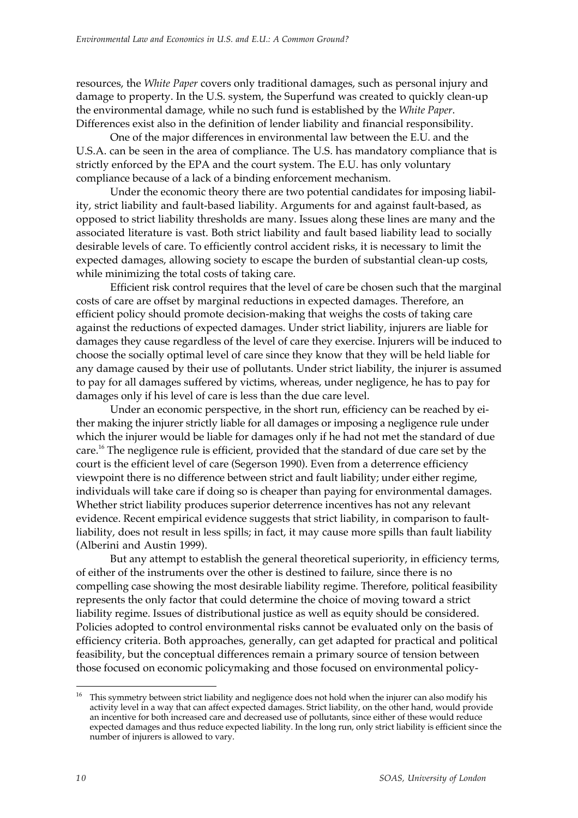resources, the *White Paper* covers only traditional damages, such as personal injury and damage to property. In the U.S. system, the Superfund was created to quickly clean-up the environmental damage, while no such fund is established by the *White Paper*. Differences exist also in the definition of lender liability and financial responsibility.

One of the major differences in environmental law between the E.U. and the U.S.A. can be seen in the area of compliance. The U.S. has mandatory compliance that is strictly enforced by the EPA and the court system. The E.U. has only voluntary compliance because of a lack of a binding enforcement mechanism.

Under the economic theory there are two potential candidates for imposing liability, strict liability and fault-based liability. Arguments for and against fault-based, as opposed to strict liability thresholds are many. Issues along these lines are many and the associated literature is vast. Both strict liability and fault based liability lead to socially desirable levels of care. To efficiently control accident risks, it is necessary to limit the expected damages, allowing society to escape the burden of substantial clean-up costs, while minimizing the total costs of taking care.

Efficient risk control requires that the level of care be chosen such that the marginal costs of care are offset by marginal reductions in expected damages. Therefore, an efficient policy should promote decision-making that weighs the costs of taking care against the reductions of expected damages. Under strict liability, injurers are liable for damages they cause regardless of the level of care they exercise. Injurers will be induced to choose the socially optimal level of care since they know that they will be held liable for any damage caused by their use of pollutants. Under strict liability, the injurer is assumed to pay for all damages suffered by victims, whereas, under negligence, he has to pay for damages only if his level of care is less than the due care level.

Under an economic perspective, in the short run, efficiency can be reached by either making the injurer strictly liable for all damages or imposing a negligence rule under which the injurer would be liable for damages only if he had not met the standard of due care.<sup>16</sup> The negligence rule is efficient, provided that the standard of due care set by the court is the efficient level of care (Segerson 1990). Even from a deterrence efficiency viewpoint there is no difference between strict and fault liability; under either regime, individuals will take care if doing so is cheaper than paying for environmental damages. Whether strict liability produces superior deterrence incentives has not any relevant evidence. Recent empirical evidence suggests that strict liability, in comparison to faultliability, does not result in less spills; in fact, it may cause more spills than fault liability (Alberini and Austin 1999).

But any attempt to establish the general theoretical superiority, in efficiency terms, of either of the instruments over the other is destined to failure, since there is no compelling case showing the most desirable liability regime. Therefore, political feasibility represents the only factor that could determine the choice of moving toward a strict liability regime. Issues of distributional justice as well as equity should be considered. Policies adopted to control environmental risks cannot be evaluated only on the basis of efficiency criteria. Both approaches, generally, can get adapted for practical and political feasibility, but the conceptual differences remain a primary source of tension between those focused on economic policymaking and those focused on environmental policy-

<sup>16</sup> This symmetry between strict liability and negligence does not hold when the injurer can also modify his activity level in a way that can affect expected damages. Strict liability, on the other hand, would provide an incentive for both increased care and decreased use of pollutants, since either of these would reduce expected damages and thus reduce expected liability. In the long run, only strict liability is efficient since the number of injurers is allowed to vary.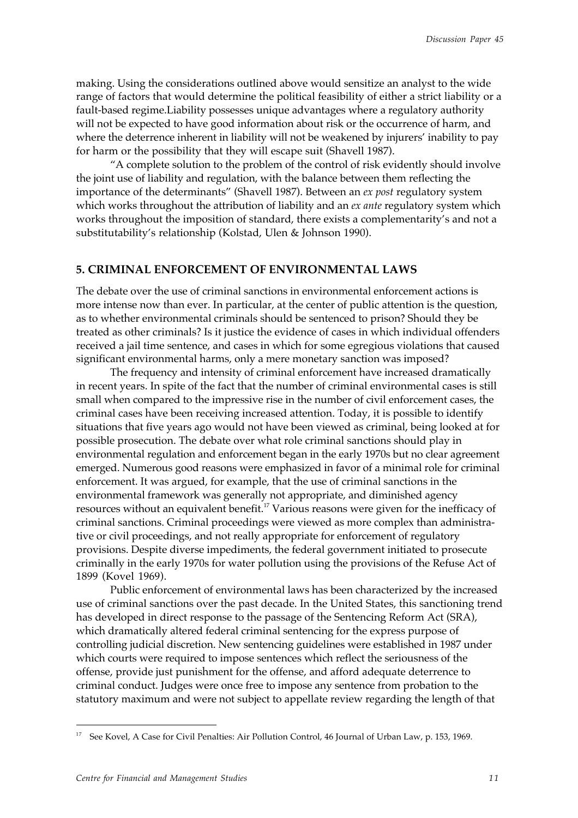making. Using the considerations outlined above would sensitize an analyst to the wide range of factors that would determine the political feasibility of either a strict liability or a fault-based regime.Liability possesses unique advantages where a regulatory authority will not be expected to have good information about risk or the occurrence of harm, and where the deterrence inherent in liability will not be weakened by injurers' inability to pay for harm or the possibility that they will escape suit (Shavell 1987).

"A complete solution to the problem of the control of risk evidently should involve the joint use of liability and regulation, with the balance between them reflecting the importance of the determinants" (Shavell 1987). Between an *ex post* regulatory system which works throughout the attribution of liability and an *ex ante* regulatory system which works throughout the imposition of standard, there exists a complementarity's and not a substitutability's relationship (Kolstad, Ulen & Johnson 1990).

#### **5. CRIMINAL ENFORCEMENT OF ENVIRONMENTAL LAWS**

The debate over the use of criminal sanctions in environmental enforcement actions is more intense now than ever. In particular, at the center of public attention is the question, as to whether environmental criminals should be sentenced to prison? Should they be treated as other criminals? Is it justice the evidence of cases in which individual offenders received a jail time sentence, and cases in which for some egregious violations that caused significant environmental harms, only a mere monetary sanction was imposed?

The frequency and intensity of criminal enforcement have increased dramatically in recent years. In spite of the fact that the number of criminal environmental cases is still small when compared to the impressive rise in the number of civil enforcement cases, the criminal cases have been receiving increased attention. Today, it is possible to identify situations that five years ago would not have been viewed as criminal, being looked at for possible prosecution. The debate over what role criminal sanctions should play in environmental regulation and enforcement began in the early 1970s but no clear agreement emerged. Numerous good reasons were emphasized in favor of a minimal role for criminal enforcement. It was argued, for example, that the use of criminal sanctions in the environmental framework was generally not appropriate, and diminished agency resources without an equivalent benefit.17 Various reasons were given for the inefficacy of criminal sanctions. Criminal proceedings were viewed as more complex than administrative or civil proceedings, and not really appropriate for enforcement of regulatory provisions. Despite diverse impediments, the federal government initiated to prosecute criminally in the early 1970s for water pollution using the provisions of the Refuse Act of 1899 (Kovel 1969).

Public enforcement of environmental laws has been characterized by the increased use of criminal sanctions over the past decade. In the United States, this sanctioning trend has developed in direct response to the passage of the Sentencing Reform Act (SRA), which dramatically altered federal criminal sentencing for the express purpose of controlling judicial discretion. New sentencing guidelines were established in 1987 under which courts were required to impose sentences which reflect the seriousness of the offense, provide just punishment for the offense, and afford adequate deterrence to criminal conduct. Judges were once free to impose any sentence from probation to the statutory maximum and were not subject to appellate review regarding the length of that

 $\overline{a}$ <sup>17</sup> See Kovel, A Case for Civil Penalties: Air Pollution Control, 46 Journal of Urban Law, p. 153, 1969.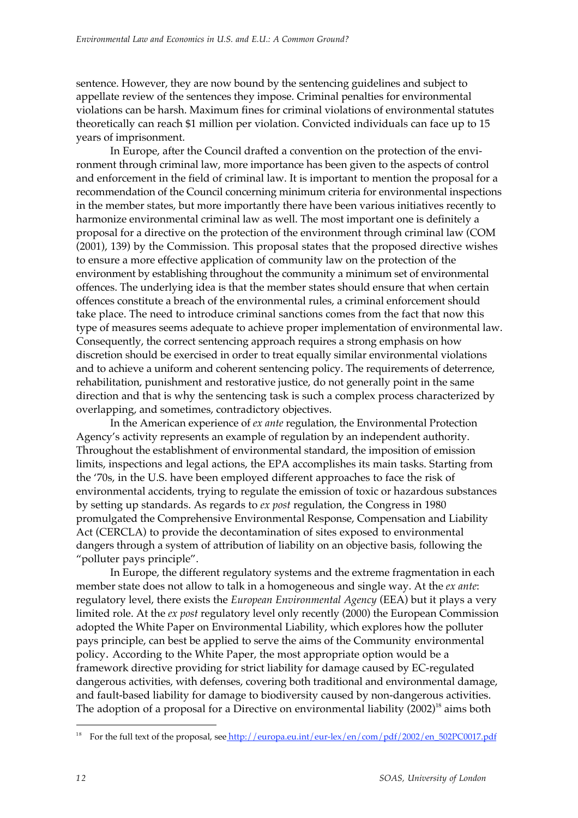sentence. However, they are now bound by the sentencing guidelines and subject to appellate review of the sentences they impose. Criminal penalties for environmental violations can be harsh. Maximum fines for criminal violations of environmental statutes theoretically can reach \$1 million per violation. Convicted individuals can face up to 15 years of imprisonment.

In Europe, after the Council drafted a convention on the protection of the environment through criminal law, more importance has been given to the aspects of control and enforcement in the field of criminal law. It is important to mention the proposal for a recommendation of the Council concerning minimum criteria for environmental inspections in the member states, but more importantly there have been various initiatives recently to harmonize environmental criminal law as well. The most important one is definitely a proposal for a directive on the protection of the environment through criminal law (COM (2001), 139) by the Commission. This proposal states that the proposed directive wishes to ensure a more effective application of community law on the protection of the environment by establishing throughout the community a minimum set of environmental offences. The underlying idea is that the member states should ensure that when certain offences constitute a breach of the environmental rules, a criminal enforcement should take place. The need to introduce criminal sanctions comes from the fact that now this type of measures seems adequate to achieve proper implementation of environmental law. Consequently, the correct sentencing approach requires a strong emphasis on how discretion should be exercised in order to treat equally similar environmental violations and to achieve a uniform and coherent sentencing policy. The requirements of deterrence, rehabilitation, punishment and restorative justice, do not generally point in the same direction and that is why the sentencing task is such a complex process characterized by overlapping, and sometimes, contradictory objectives.

In the American experience of *ex ante* regulation, the Environmental Protection Agency's activity represents an example of regulation by an independent authority. Throughout the establishment of environmental standard, the imposition of emission limits, inspections and legal actions, the EPA accomplishes its main tasks. Starting from the '70s, in the U.S. have been employed different approaches to face the risk of environmental accidents, trying to regulate the emission of toxic or hazardous substances by setting up standards. As regards to *ex post* regulation, the Congress in 1980 promulgated the Comprehensive Environmental Response, Compensation and Liability Act (CERCLA) to provide the decontamination of sites exposed to environmental dangers through a system of attribution of liability on an objective basis, following the "polluter pays principle".

In Europe, the different regulatory systems and the extreme fragmentation in each member state does not allow to talk in a homogeneous and single way. At the *ex ante*: regulatory level, there exists the *European Environmental Agency* (EEA) but it plays a very limited role. At the *ex post* regulatory level only recently (2000) the European Commission adopted the White Paper on Environmental Liability, which explores how the polluter pays principle, can best be applied to serve the aims of the Community environmental policy. According to the White Paper, the most appropriate option would be a framework directive providing for strict liability for damage caused by EC-regulated dangerous activities, with defenses, covering both traditional and environmental damage, and fault-based liability for damage to biodiversity caused by non-dangerous activities. The adoption of a proposal for a Directive on environmental liability  $(2002)^{18}$  aims both

 $\overline{a}$ <sup>18</sup> For the full text of the proposal, see http://europa.eu.int/eur-lex/en/com/pdf/2002/en\_502PC0017.pdf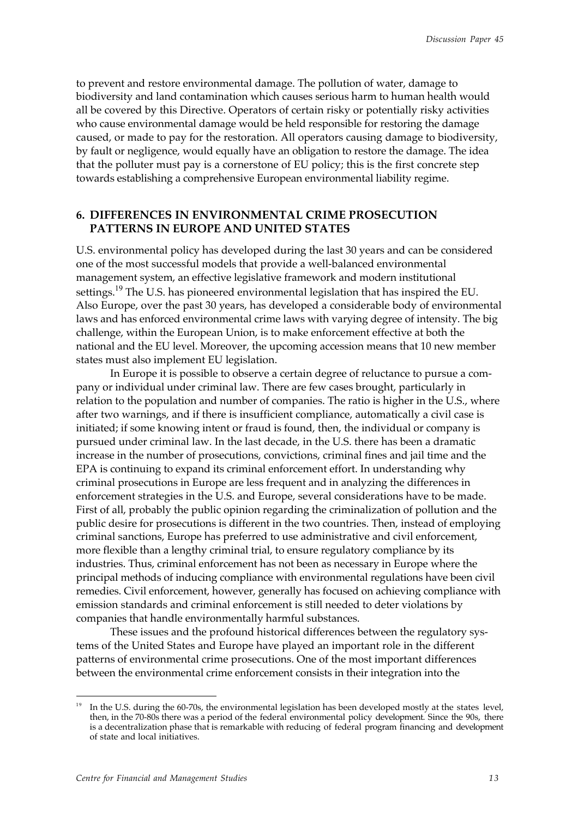to prevent and restore environmental damage. The pollution of water, damage to biodiversity and land contamination which causes serious harm to human health would all be covered by this Directive. Operators of certain risky or potentially risky activities who cause environmental damage would be held responsible for restoring the damage caused, or made to pay for the restoration. All operators causing damage to biodiversity, by fault or negligence, would equally have an obligation to restore the damage. The idea that the polluter must pay is a cornerstone of EU policy; this is the first concrete step towards establishing a comprehensive European environmental liability regime.

#### **6. DIFFERENCES IN ENVIRONMENTAL CRIME PROSECUTION PATTERNS IN EUROPE AND UNITED STATES**

U.S. environmental policy has developed during the last 30 years and can be considered one of the most successful models that provide a well-balanced environmental management system, an effective legislative framework and modern institutional settings.<sup>19</sup> The U.S. has pioneered environmental legislation that has inspired the EU. Also Europe, over the past 30 years, has developed a considerable body of environmental laws and has enforced environmental crime laws with varying degree of intensity. The big challenge, within the European Union, is to make enforcement effective at both the national and the EU level. Moreover, the upcoming accession means that 10 new member states must also implement EU legislation.

In Europe it is possible to observe a certain degree of reluctance to pursue a company or individual under criminal law. There are few cases brought, particularly in relation to the population and number of companies. The ratio is higher in the U.S., where after two warnings, and if there is insufficient compliance, automatically a civil case is initiated; if some knowing intent or fraud is found, then, the individual or company is pursued under criminal law. In the last decade, in the U.S. there has been a dramatic increase in the number of prosecutions, convictions, criminal fines and jail time and the EPA is continuing to expand its criminal enforcement effort. In understanding why criminal prosecutions in Europe are less frequent and in analyzing the differences in enforcement strategies in the U.S. and Europe, several considerations have to be made. First of all, probably the public opinion regarding the criminalization of pollution and the public desire for prosecutions is different in the two countries. Then, instead of employing criminal sanctions, Europe has preferred to use administrative and civil enforcement, more flexible than a lengthy criminal trial, to ensure regulatory compliance by its industries. Thus, criminal enforcement has not been as necessary in Europe where the principal methods of inducing compliance with environmental regulations have been civil remedies. Civil enforcement, however, generally has focused on achieving compliance with emission standards and criminal enforcement is still needed to deter violations by companies that handle environmentally harmful substances.

These issues and the profound historical differences between the regulatory systems of the United States and Europe have played an important role in the different patterns of environmental crime prosecutions. One of the most important differences between the environmental crime enforcement consists in their integration into the

 $19$  In the U.S. during the 60-70s, the environmental legislation has been developed mostly at the states level, then, in the 70-80s there was a period of the federal environmental policy development. Since the 90s, there is a decentralization phase that is remarkable with reducing of federal program financing and development of state and local initiatives.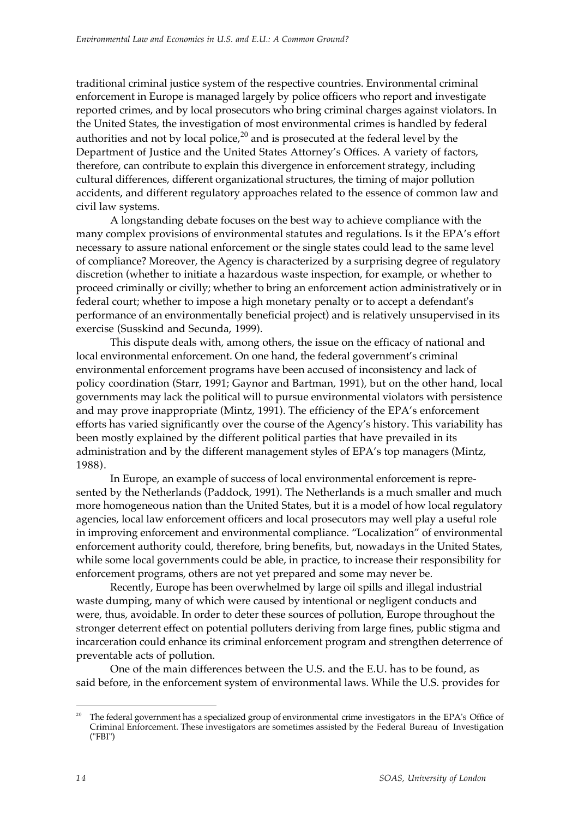traditional criminal justice system of the respective countries. Environmental criminal enforcement in Europe is managed largely by police officers who report and investigate reported crimes, and by local prosecutors who bring criminal charges against violators. In the United States, the investigation of most environmental crimes is handled by federal authorities and not by local police, $^{20}$  and is prosecuted at the federal level by the Department of Justice and the United States Attorney's Offices. A variety of factors, therefore, can contribute to explain this divergence in enforcement strategy, including cultural differences, different organizational structures, the timing of major pollution accidents, and different regulatory approaches related to the essence of common law and civil law systems.

A longstanding debate focuses on the best way to achieve compliance with the many complex provisions of environmental statutes and regulations. Is it the EPA's effort necessary to assure national enforcement or the single states could lead to the same level of compliance? Moreover, the Agency is characterized by a surprising degree of regulatory discretion (whether to initiate a hazardous waste inspection, for example, or whether to proceed criminally or civilly; whether to bring an enforcement action administratively or in federal court; whether to impose a high monetary penalty or to accept a defendant's performance of an environmentally beneficial project) and is relatively unsupervised in its exercise (Susskind and Secunda, 1999).

This dispute deals with, among others, the issue on the efficacy of national and local environmental enforcement. On one hand, the federal government's criminal environmental enforcement programs have been accused of inconsistency and lack of policy coordination (Starr, 1991; Gaynor and Bartman, 1991), but on the other hand, local governments may lack the political will to pursue environmental violators with persistence and may prove inappropriate (Mintz, 1991). The efficiency of the EPA's enforcement efforts has varied significantly over the course of the Agency's history. This variability has been mostly explained by the different political parties that have prevailed in its administration and by the different management styles of EPA's top managers (Mintz, 1988).

In Europe, an example of success of local environmental enforcement is represented by the Netherlands (Paddock, 1991). The Netherlands is a much smaller and much more homogeneous nation than the United States, but it is a model of how local regulatory agencies, local law enforcement officers and local prosecutors may well play a useful role in improving enforcement and environmental compliance. "Localization" of environmental enforcement authority could, therefore, bring benefits, but, nowadays in the United States, while some local governments could be able, in practice, to increase their responsibility for enforcement programs, others are not yet prepared and some may never be.

Recently, Europe has been overwhelmed by large oil spills and illegal industrial waste dumping, many of which were caused by intentional or negligent conducts and were, thus, avoidable. In order to deter these sources of pollution, Europe throughout the stronger deterrent effect on potential polluters deriving from large fines, public stigma and incarceration could enhance its criminal enforcement program and strengthen deterrence of preventable acts of pollution.

One of the main differences between the U.S. and the E.U. has to be found, as said before, in the enforcement system of environmental laws. While the U.S. provides for

1

The federal government has a specialized group of environmental crime investigators in the EPA's Office of Criminal Enforcement. These investigators are sometimes assisted by the Federal Bureau of Investigation ("FBI")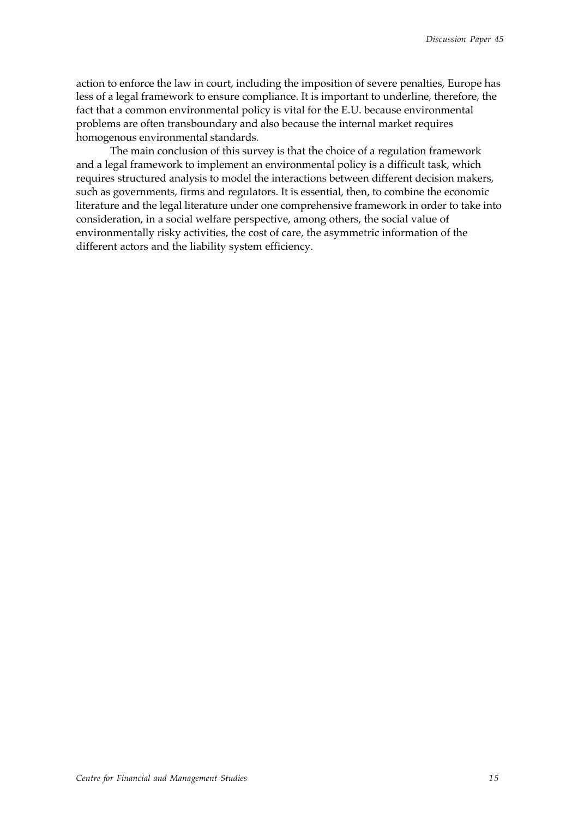action to enforce the law in court, including the imposition of severe penalties, Europe has less of a legal framework to ensure compliance. It is important to underline, therefore, the fact that a common environmental policy is vital for the E.U. because environmental problems are often transboundary and also because the internal market requires homogenous environmental standards.

The main conclusion of this survey is that the choice of a regulation framework and a legal framework to implement an environmental policy is a difficult task, which requires structured analysis to model the interactions between different decision makers, such as governments, firms and regulators. It is essential, then, to combine the economic literature and the legal literature under one comprehensive framework in order to take into consideration, in a social welfare perspective, among others, the social value of environmentally risky activities, the cost of care, the asymmetric information of the different actors and the liability system efficiency.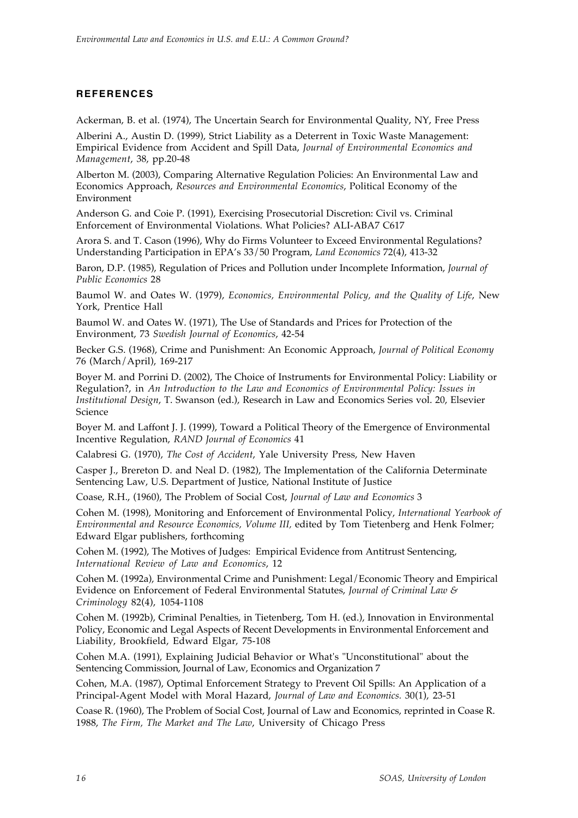## **REFERENCES**

Ackerman, B. et al. (1974), The Uncertain Search for Environmental Quality, NY, Free Press

Alberini A., Austin D. (1999), Strict Liability as a Deterrent in Toxic Waste Management: Empirical Evidence from Accident and Spill Data, *Journal of Environmental Economics and Management*, 38, pp.20-48

Alberton M. (2003), Comparing Alternative Regulation Policies: An Environmental Law and Economics Approach, *Resources and Environmental Economics*, Political Economy of the Environment

Anderson G. and Coie P. (1991), Exercising Prosecutorial Discretion: Civil vs. Criminal Enforcement of Environmental Violations. What Policies? ALI-ABA7 C617

Arora S. and T. Cason (1996), Why do Firms Volunteer to Exceed Environmental Regulations? Understanding Participation in EPA's 33/50 Program, *Land Economics* 72(4), 413-32

Baron, D.P. (1985), Regulation of Prices and Pollution under Incomplete Information, *Journal of Public Economics* 28

Baumol W. and Oates W. (1979), *Economics, Environmental Policy, and the Quality of Life*, New York, Prentice Hall

Baumol W. and Oates W. (1971), The Use of Standards and Prices for Protection of the Environment, 73 *Swedish Journal of Economics*, 42-54

Becker G.S. (1968), Crime and Punishment: An Economic Approach, *Journal of Political Economy* 76 (March/April), 169-217

Boyer M. and Porrini D. (2002), The Choice of Instruments for Environmental Policy: Liability or Regulation?, in *An Introduction to the Law and Economics of Environmental Policy: Issues in Institutional Design*, T. Swanson (ed.), Research in Law and Economics Series vol. 20, Elsevier Science

Boyer M. and Laffont J. J. (1999), Toward a Political Theory of the Emergence of Environmental Incentive Regulation, *RAND Journal of Economics* 41

Calabresi G. (1970), *The Cost of Accident*, Yale University Press, New Haven

Casper J., Brereton D. and Neal D. (1982), The Implementation of the California Determinate Sentencing Law, U.S. Department of Justice, National Institute of Justice

Coase, R.H., (1960), The Problem of Social Cost, *Journal of Law and Economics* 3

Cohen M. (1998), Monitoring and Enforcement of Environmental Policy, *International Yearbook of Environmental and Resource Economics, Volume III,* edited by Tom Tietenberg and Henk Folmer; Edward Elgar publishers, forthcoming

Cohen M. (1992), The Motives of Judges: Empirical Evidence from Antitrust Sentencing, *International Review of Law and Economics*, 12

Cohen M. (1992a), Environmental Crime and Punishment: Legal/Economic Theory and Empirical Evidence on Enforcement of Federal Environmental Statutes, *Journal of Criminal Law & Criminology* 82(4), 1054-1108

Cohen M. (1992b), Criminal Penalties, in Tietenberg, Tom H. (ed.), Innovation in Environmental Policy, Economic and Legal Aspects of Recent Developments in Environmental Enforcement and Liability, Brookfield, Edward Elgar, 75-108

Cohen M.A. (1991), Explaining Judicial Behavior or What's "Unconstitutional" about the Sentencing Commission, Journal of Law, Economics and Organization 7

Cohen, M.A. (1987), Optimal Enforcement Strategy to Prevent Oil Spills: An Application of a Principal-Agent Model with Moral Hazard, *Journal of Law and Economics.* 30(1), 23-51

Coase R. (1960), The Problem of Social Cost, Journal of Law and Economics, reprinted in Coase R. 1988, *The Firm, The Market and The Law*, University of Chicago Press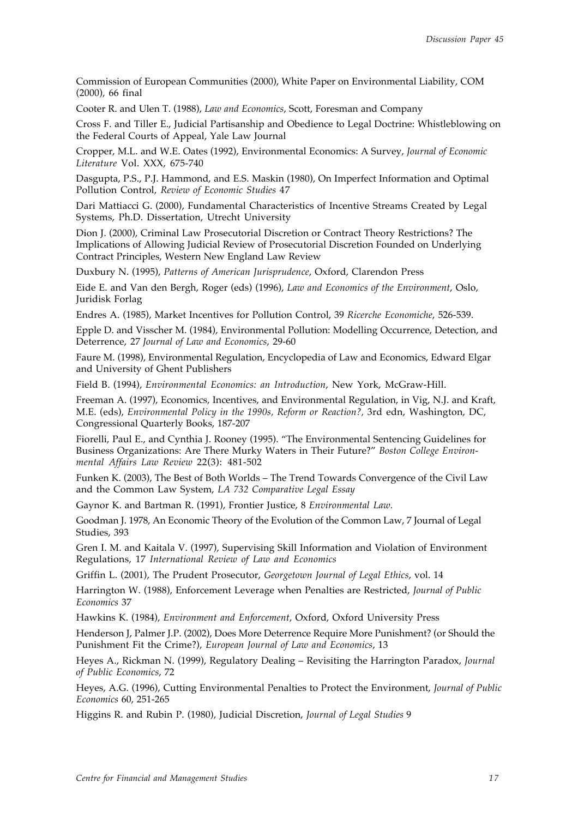Commission of European Communities (2000), White Paper on Environmental Liability, COM (2000), 66 final

Cooter R. and Ulen T. (1988), *Law and Economics*, Scott, Foresman and Company

Cross F. and Tiller E., Judicial Partisanship and Obedience to Legal Doctrine: Whistleblowing on the Federal Courts of Appeal, Yale Law Journal

Cropper, M.L. and W.E. Oates (1992), Environmental Economics: A Survey, *Journal of Economic Literature* Vol. XXX, 675-740

Dasgupta, P.S., P.J. Hammond, and E.S. Maskin (1980), On Imperfect Information and Optimal Pollution Control, *Review of Economic Studies* 47

Dari Mattiacci G. (2000), Fundamental Characteristics of Incentive Streams Created by Legal Systems, Ph.D. Dissertation, Utrecht University

Dion J. (2000), Criminal Law Prosecutorial Discretion or Contract Theory Restrictions? The Implications of Allowing Judicial Review of Prosecutorial Discretion Founded on Underlying Contract Principles, Western New England Law Review

Duxbury N. (1995), *Patterns of American Jurisprudence*, Oxford, Clarendon Press

Eide E. and Van den Bergh, Roger (eds) (1996), *Law and Economics of the Environment*, Oslo, Juridisk Forlag

Endres A. (1985), Market Incentives for Pollution Control, 39 *Ricerche Economiche*, 526-539.

Epple D. and Visscher M. (1984), Environmental Pollution: Modelling Occurrence, Detection, and Deterrence, 27 *Journal of Law and Economics*, 29-60

Faure M. (1998), Environmental Regulation, Encyclopedia of Law and Economics, Edward Elgar and University of Ghent Publishers

Field B. (1994), *Environmental Economics: an Introduction*, New York, McGraw-Hill.

Freeman A. (1997), Economics, Incentives, and Environmental Regulation, in Vig, N.J. and Kraft, M.E. (eds), *Environmental Policy in the 1990s, Reform or Reaction?,* 3rd edn, Washington, DC, Congressional Quarterly Books, 187-207

Fiorelli, Paul E., and Cynthia J. Rooney (1995). "The Environmental Sentencing Guidelines for Business Organizations: Are There Murky Waters in Their Future?" *Boston College Environmental Affairs Law Review* 22(3): 481-502

Funken K. (2003), The Best of Both Worlds – The Trend Towards Convergence of the Civil Law and the Common Law System, *LA 732 Comparative Legal Essay*

Gaynor K. and Bartman R. (1991), Frontier Justice, 8 *Environmental Law.*

Goodman J. 1978, An Economic Theory of the Evolution of the Common Law, 7 Journal of Legal Studies, 393

Gren I. M. and Kaitala V. (1997), Supervising Skill Information and Violation of Environment Regulations, 17 *International Review of Law and Economics*

Griffin L. (2001), The Prudent Prosecutor, *Georgetown Journal of Legal Ethics*, vol. 14

Harrington W. (1988), Enforcement Leverage when Penalties are Restricted, *Journal of Public Economics* 37

Hawkins K. (1984), *Environment and Enforcement*, Oxford, Oxford University Press

Henderson J, Palmer J.P. (2002), Does More Deterrence Require More Punishment? (or Should the Punishment Fit the Crime?), *European Journal of Law and Economics*, 13

Heyes A., Rickman N. (1999), Regulatory Dealing – Revisiting the Harrington Paradox, *Journal of Public Economics*, 72

Heyes, A.G. (1996), Cutting Environmental Penalties to Protect the Environment, *Journal of Public Economics* 60, 251-265

Higgins R. and Rubin P. (1980), Judicial Discretion, *Journal of Legal Studies* 9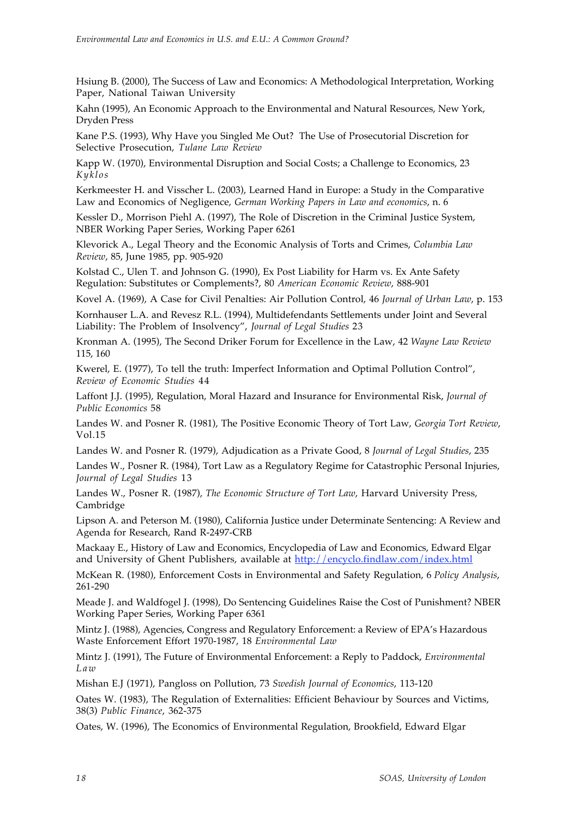Hsiung B. (2000), The Success of Law and Economics: A Methodological Interpretation, Working Paper, National Taiwan University

Kahn (1995), An Economic Approach to the Environmental and Natural Resources, New York, Dryden Press

Kane P.S. (1993), Why Have you Singled Me Out? The Use of Prosecutorial Discretion for Selective Prosecution, *Tulane Law Review*

Kapp W. (1970), Environmental Disruption and Social Costs; a Challenge to Economics, 23 *Kyklos*

Kerkmeester H. and Visscher L. (2003), Learned Hand in Europe: a Study in the Comparative Law and Economics of Negligence, *German Working Papers in Law and economics*, n. 6

Kessler D., Morrison Piehl A. (1997), The Role of Discretion in the Criminal Justice System, NBER Working Paper Series, Working Paper 6261

Klevorick A., Legal Theory and the Economic Analysis of Torts and Crimes, *Columbia Law Review*, 85, June 1985, pp. 905-920

Kolstad C., Ulen T. and Johnson G. (1990), Ex Post Liability for Harm vs. Ex Ante Safety Regulation: Substitutes or Complements?, 80 *American Economic Review*, 888-901

Kovel A. (1969), A Case for Civil Penalties: Air Pollution Control, 46 *Journal of Urban Law*, p. 153

Kornhauser L.A. and Revesz R.L. (1994), Multidefendants Settlements under Joint and Several Liability: The Problem of Insolvency", *Journal of Legal Studies* 23

Kronman A. (1995), The Second Driker Forum for Excellence in the Law, 42 *Wayne Law Review* 115, 160

Kwerel, E. (1977), To tell the truth: Imperfect Information and Optimal Pollution Control", *Review of Economic Studies* 44

Laffont J.J. (1995), Regulation, Moral Hazard and Insurance for Environmental Risk, *Journal of Public Economics* 58

Landes W. and Posner R. (1981), The Positive Economic Theory of Tort Law, *Georgia Tort Review*, Vol.15

Landes W. and Posner R. (1979), Adjudication as a Private Good, 8 *Journal of Legal Studies*, 235

Landes W., Posner R. (1984), Tort Law as a Regulatory Regime for Catastrophic Personal Injuries, *Journal of Legal Studies* 13

Landes W., Posner R. (1987), *The Economic Structure of Tort Law*, Harvard University Press, Cambridge

Lipson A. and Peterson M. (1980), California Justice under Determinate Sentencing: A Review and Agenda for Research, Rand R-2497-CRB

Mackaay E., History of Law and Economics, Encyclopedia of Law and Economics, Edward Elgar and University of Ghent Publishers, available at http://encyclo.findlaw.com/index.html

McKean R. (1980), Enforcement Costs in Environmental and Safety Regulation, 6 *Policy Analysis*, 261-290

Meade J. and Waldfogel J. (1998), Do Sentencing Guidelines Raise the Cost of Punishment? NBER Working Paper Series, Working Paper 6361

Mintz J. (1988), Agencies, Congress and Regulatory Enforcement: a Review of EPA's Hazardous Waste Enforcement Effort 1970-1987, 18 *Environmental Law*

Mintz J. (1991), The Future of Environmental Enforcement: a Reply to Paddock, *Environmental Law*

Mishan E.J (1971), Pangloss on Pollution, 73 *Swedish Journal of Economics*, 113-120

Oates W. (1983), The Regulation of Externalities: Efficient Behaviour by Sources and Victims, 38(3) *Public Finance*, 362-375

Oates, W. (1996), The Economics of Environmental Regulation, Brookfield, Edward Elgar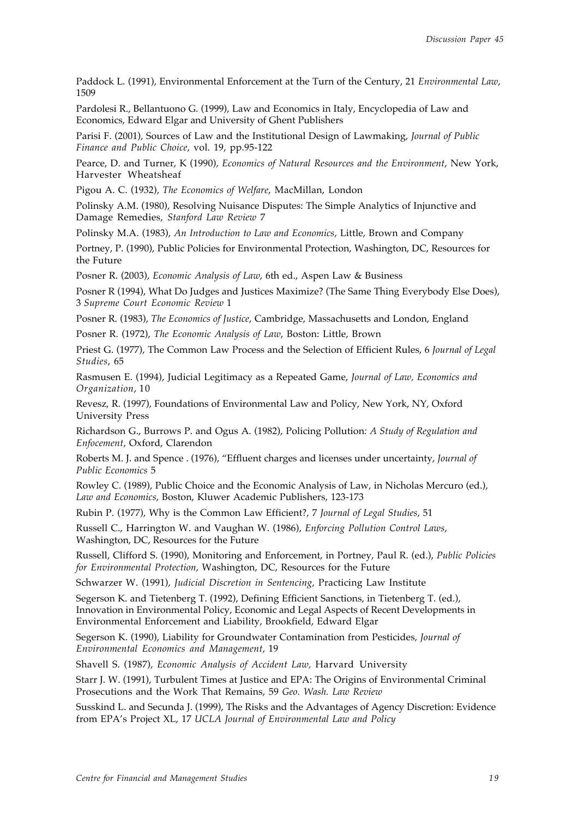Paddock L. (1991), Environmental Enforcement at the Turn of the Century, 21 *Environmental Law*, 1509

Pardolesi R., Bellantuono G. (1999), Law and Economics in Italy, Encyclopedia of Law and Economics, Edward Elgar and University of Ghent Publishers

Parisi F. (2001), Sources of Law and the Institutional Design of Lawmaking, *Journal of Public Finance and Public Choice*, vol. 19, pp.95-122

Pearce, D. and Turner, K (1990), *Economics of Natural Resources and the Environment*, New York, Harvester Wheatsheaf

Pigou A. C. (1932), *The Economics of Welfare*, MacMillan, London

Polinsky A.M. (1980), Resolving Nuisance Disputes: The Simple Analytics of Injunctive and Damage Remedies, *Stanford Law Review* 7

Polinsky M.A. (1983), *An Introduction to Law and Economics*, Little, Brown and Company

Portney, P. (1990), Public Policies for Environmental Protection, Washington, DC, Resources for the Future

Posner R. (2003), *Economic Analysis of Law*, 6th ed., Aspen Law & Business

Posner R (1994), What Do Judges and Justices Maximize? (The Same Thing Everybody Else Does), 3 *Supreme Court Economic Review* 1

Posner R. (1983), *The Economics of Justice*, Cambridge, Massachusetts and London, England

Posner R. (1972), *The Economic Analysis of Law*, Boston: Little, Brown

Priest G. (1977), The Common Law Process and the Selection of Efficient Rules, 6 *Journal of Legal Studies*, 65

Rasmusen E. (1994), Judicial Legitimacy as a Repeated Game, *Journal of Law, Economics and Organization*, 10

Revesz, R. (1997), Foundations of Environmental Law and Policy, New York, NY, Oxford University Press

Richardson G., Burrows P. and Ogus A. (1982), Policing Pollution*: A Study of Regulation and Enfocement*, Oxford, Clarendon

Roberts M. J. and Spence . (1976), "Effluent charges and licenses under uncertainty, *Journal of Public Economics* 5

Rowley C. (1989), Public Choice and the Economic Analysis of Law, in Nicholas Mercuro (ed.), *Law and Economics*, Boston, Kluwer Academic Publishers, 123-173

Rubin P. (1977), Why is the Common Law Efficient?, 7 *Journal of Legal Studies*, 51

Russell C., Harrington W. and Vaughan W. (1986), *Enforcing Pollution Control Laws*, Washington, DC, Resources for the Future

Russell, Clifford S. (1990), Monitoring and Enforcement, in Portney, Paul R. (ed.), *Public Policies for Environmental Protection*, Washington, DC, Resources for the Future

Schwarzer W. (1991), *Judicial Discretion in Sentencing*, Practicing Law Institute

Segerson K. and Tietenberg T. (1992), Defining Efficient Sanctions, in Tietenberg T. (ed.), Innovation in Environmental Policy, Economic and Legal Aspects of Recent Developments in Environmental Enforcement and Liability, Brookfield, Edward Elgar

Segerson K. (1990), Liability for Groundwater Contamination from Pesticides, *Journal of Environmental Economics and Management*, 19

Shavell S. (1987), *Economic Analysis of Accident Law,* Harvard University

Starr J. W. (1991), Turbulent Times at Justice and EPA: The Origins of Environmental Criminal Prosecutions and the Work That Remains, 59 *Geo. Wash. Law Review*

Susskind L. and Secunda J. (1999), The Risks and the Advantages of Agency Discretion: Evidence from EPA's Project XL, 17 *UCLA Journal of Environmental Law and Policy*